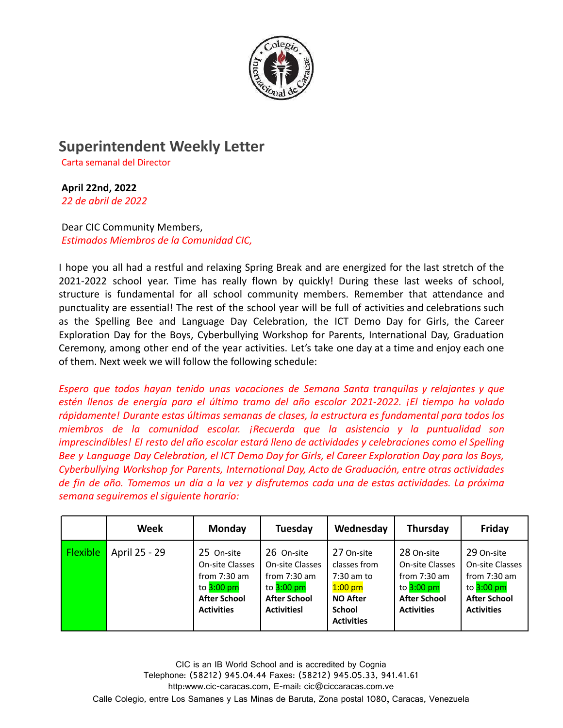

## **Superintendent Weekly Letter**

Carta semanal del Director

## **April 22nd, 2022**

*22 de abril de 2022*

Dear CIC Community Members, *Estimados Miembros de la Comunidad CIC,*

I hope you all had a restful and relaxing Spring Break and are energized for the last stretch of the 2021-2022 school year. Time has really flown by quickly! During these last weeks of school, structure is fundamental for all school community members. Remember that attendance and punctuality are essential! The rest of the school year will be full of activities and celebrations such as the Spelling Bee and Language Day Celebration, the ICT Demo Day for Girls, the Career Exploration Day for the Boys, Cyberbullying Workshop for Parents, International Day, Graduation Ceremony, among other end of the year activities. Let's take one day at a time and enjoy each one of them. Next week we will follow the following schedule:

*Espero que todos hayan tenido unas vacaciones de Semana Santa tranquilas y relajantes y que estén llenos de energía para el último tramo del año escolar 2021-2022. ¡El tiempo ha volado rápidamente! Durante estas últimas semanas de clases, la estructura es fundamental para todos los miembros de la comunidad escolar. ¡Recuerda que la asistencia y la puntualidad son imprescindibles! El resto del año escolar estará lleno de actividades y celebraciones como el Spelling* Bee y Language Day Celebration, el ICT Demo Day for Girls, el Career Exploration Day para los Boys, *Cyberbullying Workshop for Parents, International Day, Acto de Graduación, entre otras actividades* de fin de año. Tomemos un día a la vez y disfrutemos cada una de estas actividades. La próxima *semana seguiremos el siguiente horario:*

|                 | <b>Week</b>   | <b>Monday</b>                                                                                               | Tuesday                                                                                                      | Wednesday                                                                                                        | Thursday                                                                                                           | Friday                                                                                                             |
|-----------------|---------------|-------------------------------------------------------------------------------------------------------------|--------------------------------------------------------------------------------------------------------------|------------------------------------------------------------------------------------------------------------------|--------------------------------------------------------------------------------------------------------------------|--------------------------------------------------------------------------------------------------------------------|
| <b>Flexible</b> | April 25 - 29 | 25 On-site<br>On-site Classes<br>from $7:30$ am<br>to $3:00$ pm<br><b>After School</b><br><b>Activities</b> | 26 On-site<br>On-site Classes<br>from $7:30$ am<br>to $3:00$ pm<br><b>After School</b><br><b>ActivitiesI</b> | 27 On-site<br>classes from<br>$7:30$ am to<br>$1:00$ pm<br><b>NO After</b><br><b>School</b><br><b>Activities</b> | 28 On-site<br><b>On-site Classes</b><br>from $7:30$ am<br>to $3:00$ pm<br><b>After School</b><br><b>Activities</b> | 29 On-site<br><b>On-site Classes</b><br>from $7:30$ am<br>to $3:00$ pm<br><b>After School</b><br><b>Activities</b> |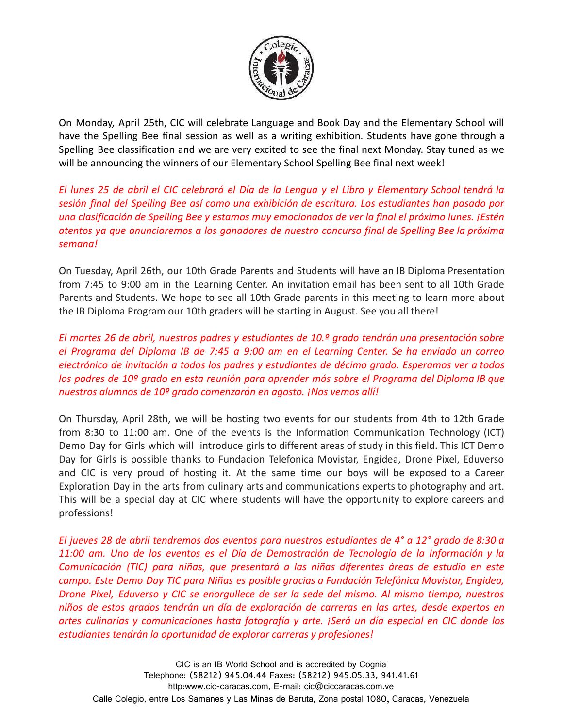

On Monday, April 25th, CIC will celebrate Language and Book Day and the Elementary School will have the Spelling Bee final session as well as a writing exhibition. Students have gone through a Spelling Bee classification and we are very excited to see the final next Monday. Stay tuned as we will be announcing the winners of our Elementary School Spelling Bee final next week!

El lunes 25 de abril el CIC celebrará el Día de la Lengua y el Libro y Elementary School tendrá la *sesión final del Spelling Bee así como una exhibición de escritura. Los estudiantes han pasado por una clasificación de Spelling Bee y estamos muy emocionados de ver la final el próximo lunes. ¡Estén atentos ya que anunciaremos a los ganadores de nuestro concurso final de Spelling Bee la próxima semana!*

On Tuesday, April 26th, our 10th Grade Parents and Students will have an IB Diploma Presentation from 7:45 to 9:00 am in the Learning Center. An invitation email has been sent to all 10th Grade Parents and Students. We hope to see all 10th Grade parents in this meeting to learn more about the IB Diploma Program our 10th graders will be starting in August. See you all there!

*El martes 26 de abril, nuestros padres y estudiantes de 10.º grado tendrán una presentación sobre el Programa del Diploma IB de 7:45 a 9:00 am en el Learning Center. Se ha enviado un correo electrónico de invitación a todos los padres y estudiantes de décimo grado. Esperamos ver a todos los padres de 10º grado en esta reunión para aprender más sobre el Programa del Diploma IB que nuestros alumnos de 10º grado comenzarán en agosto. ¡Nos vemos allí!*

On Thursday, April 28th, we will be hosting two events for our students from 4th to 12th Grade from 8:30 to 11:00 am. One of the events is the Information Communication Technology (ICT) Demo Day for Girls which will introduce girls to different areas of study in this field. This ICT Demo Day for Girls is possible thanks to Fundacion Telefonica Movistar, Engidea, Drone Pixel, Eduverso and CIC is very proud of hosting it. At the same time our boys will be exposed to a Career Exploration Day in the arts from culinary arts and communications experts to photography and art. This will be a special day at CIC where students will have the opportunity to explore careers and professions!

El jueves 28 de abril tendremos dos eventos para nuestros estudiantes de 4° a 12° grado de 8:30 a *11:00 am. Uno de los eventos es el Día de Demostración de Tecnología de la Información y la Comunicación (TIC) para niñas, que presentará a las niñas diferentes áreas de estudio en este campo. Este Demo Day TIC para Niñas es posible gracias a Fundación Telefónica Movistar, Engidea, Drone Pixel, Eduverso y CIC se enorgullece de ser la sede del mismo. Al mismo tiempo, nuestros niños de estos grados tendrán un día de exploración de carreras en las artes, desde expertos en artes culinarias y comunicaciones hasta fotografía y arte. ¡Será un día especial en CIC donde los estudiantes tendrán la oportunidad de explorar carreras y profesiones!*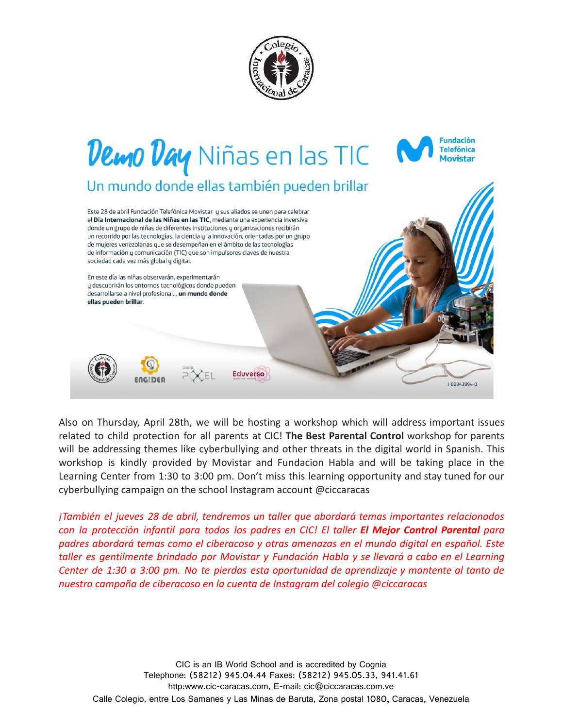



Also on Thursday, April 28th, we will be hosting a workshop which will address important issues related to child protection for all parents at CIC! **The Best Parental Control** workshop for parents will be addressing themes like cyberbullying and other threats in the digital world in Spanish. This workshop is kindly provided by Movistar and Fundacion Habla and will be taking place in the Learning Center from 1:30 to 3:00 pm. Don't miss this learning opportunity and stay tuned for our cyberbullying campaign on the school Instagram account @ciccaracas

*¡También el jueves 28 de abril, tendremos un taller que abordará temas importantes relacionados con la protección infantil para todos los padres en CIC! El taller El Mejor Control Parental para padres abordará temas como el ciberacoso y otras amenazas en el mundo digital en español. Este taller es gentilmente brindado por Movistar y Fundación Habla y se llevará a cabo en el Learning Center de 1:30 a 3:00 pm. No te pierdas esta oportunidad de aprendizaje y mantente al tanto de nuestra campaña de ciberacoso en la cuenta de Instagram del colegio @ciccaracas*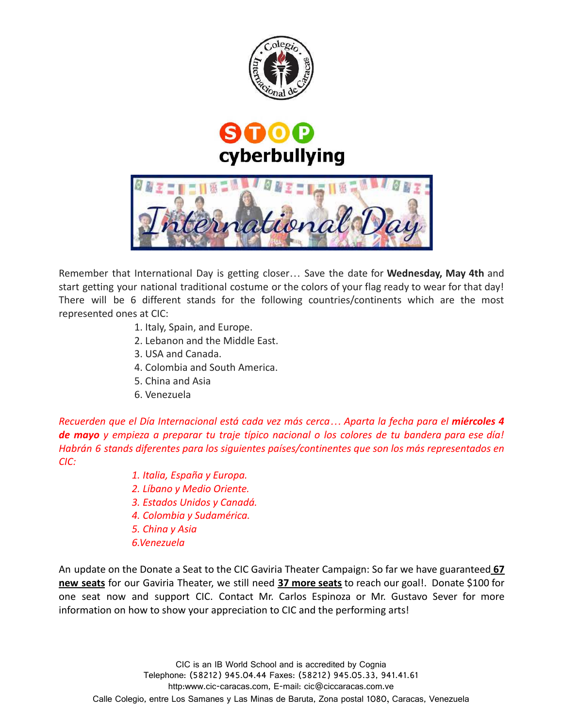





Remember that International Day is getting closer… Save the date for **Wednesday, May 4th** and start getting your national traditional costume or the colors of your flag ready to wear for that day! There will be 6 different stands for the following countries/continents which are the most represented ones at CIC:

- 1. Italy, Spain, and Europe.
- 2. Lebanon and the Middle East.
- 3. USA and Canada.
- 4. Colombia and South America.
- 5. China and Asia
- 6. Venezuela

*Recuerden que el Día Internacional está cada vez más cerca… Aparta la fecha para el miércoles 4* de mayo y empieza a preparar tu traje típico nacional o los colores de tu bandera para ese día! *Habrán 6 stands diferentes para los siguientes países/continentes que son los más representados en CIC:*

- *1. Italia, España y Europa.*
- *2. Líbano y Medio Oriente.*
- *3. Estados Unidos y Canadá.*
- *4. Colombia y Sudamérica.*
- *5. China y Asia*
- *6.Venezuela*

An update on the Donate a Seat to the CIC Gaviria Theater Campaign: So far we have guaranteed **67 new seats** for our Gaviria Theater, we still need **37 more seats** to reach our goal!. Donate \$100 for one seat now and support CIC. Contact Mr. Carlos Espinoza or Mr. Gustavo Sever for more information on how to show your appreciation to CIC and the performing arts!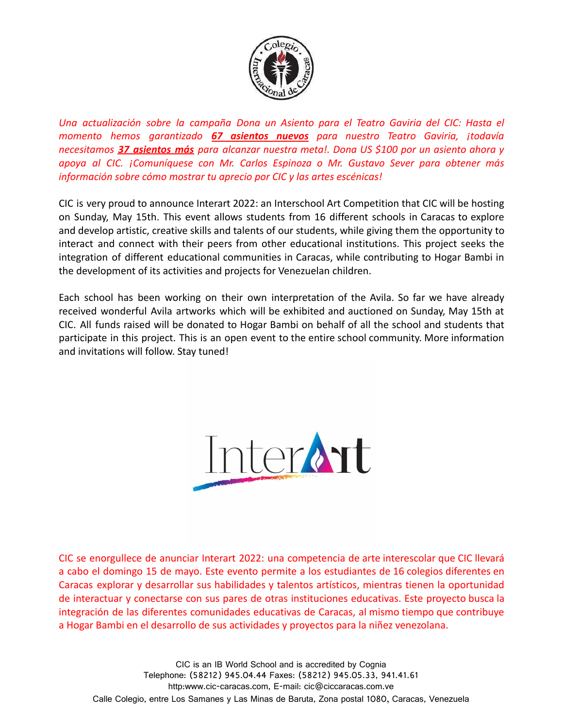

*Una actualización sobre la campaña Dona un Asiento para el Teatro Gaviria del CIC: Hasta el momento hemos garantizado 67 asientos nuevos para nuestro Teatro Gaviria, ¡todavía necesitamos 37 asientos más para alcanzar nuestra meta!. Dona US \$100 por un asiento ahora y apoya al CIC. ¡Comuníquese con Mr. Carlos Espinoza o Mr. Gustavo Sever para obtener más información sobre cómo mostrar tu aprecio por CIC y las artes escénicas!*

CIC is very proud to announce Interart 2022: an Interschool Art Competition that CIC will be hosting on Sunday, May 15th. This event allows students from 16 different schools in Caracas to explore and develop artistic, creative skills and talents of our students, while giving them the opportunity to interact and connect with their peers from other educational institutions. This project seeks the integration of different educational communities in Caracas, while contributing to Hogar Bambi in the development of its activities and projects for Venezuelan children.

Each school has been working on their own interpretation of the Avila. So far we have already received wonderful Avila artworks which will be exhibited and auctioned on Sunday, May 15th at CIC. All funds raised will be donated to Hogar Bambi on behalf of all the school and students that participate in this project. This is an open event to the entire school community. More information and invitations will follow. Stay tuned!



CIC se enorgullece de anunciar Interart 2022: una competencia de arte interescolar que CIC llevará a cabo el domingo 15 de mayo. Este evento permite a los estudiantes de 16 colegios diferentes en Caracas explorar y desarrollar sus habilidades y talentos artísticos, mientras tienen la oportunidad de interactuar y conectarse con sus pares de otras instituciones educativas. Este proyecto busca la integración de las diferentes comunidades educativas de Caracas, al mismo tiempo que contribuye a Hogar Bambi en el desarrollo de sus actividades y proyectos para la niñez venezolana.